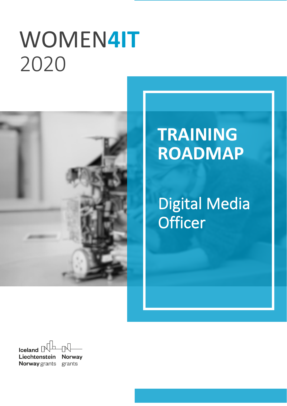# WOMEN**4IT** `2020



# **TRAINING ROADMAP**

Digital Media **Officer** 

Iceland  $\Box$ Liechtenstein **Norway Norway** grants grants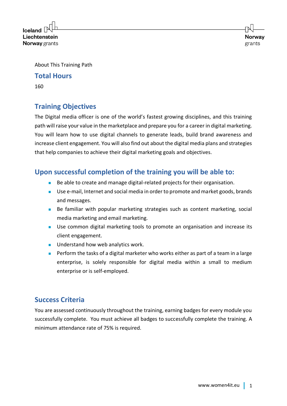$l$ celand Liechtenstein **Norway** grants

About This Training Path

#### **Total Hours**

160

# **Training Objectives**

The Digital media officer is one of the world's fastest growing disciplines, and this training path will raise your value in the marketplace and prepare you for a career in digital marketing. You will learn how to use digital channels to generate leads, build brand awareness and increase client engagement. You will also find out about the digital media plans and strategies that help companies to achieve their digital marketing goals and objectives.

# **Upon successful completion of the training you will be able to:**

- Be able to create and manage digital-related projects for their organisation.
- Use e-mail, Internet and social media in order to promote and market goods, brands and messages.
- Be familiar with popular marketing strategies such as content marketing, social media marketing and email marketing.
- Use common digital marketing tools to promote an organisation and increase its client engagement.
- Understand how web analytics work.
- Perform the tasks of a digital marketer who works either as part of a team in a large enterprise, is solely responsible for digital media within a small to medium enterprise or is self-employed.

# **Success Criteria**

You are assessed continuously throughout the training, earning badges for every module you successfully complete. You must achieve all badges to successfully complete the training. A minimum attendance rate of 75% is required.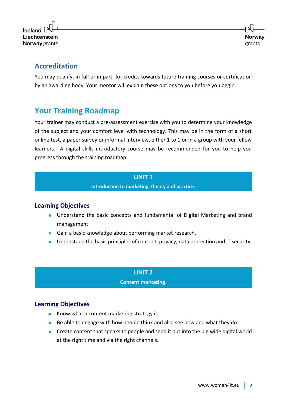

# **Accreditation**

You may qualify, in full or in part, for credits towards future training courses or certification by an awarding body. Your mentor will explain these options to you before you begin.

# **Your Training Roadmap**

Your trainer may conduct a pre-assessment exercise with you to determine your knowledge of the subject and your comfort level with technology. This may be in the form of a short online test, a paper survey or informal interview, either 1 to 1 or in a group with your fellow learners. A digital skills introductory course may be recommended for you to help you progress through the training roadmap.

#### **UNIT 1**

**Introduction to marketing, theory and practice.**

#### **Learning Objectives**

- Understand the basic concepts and fundamental of Digital Marketing and brand management.
- Gain a basic knowledge about performing market research.
- Understand the basic principles of consent, privacy, data protection and IT security.

## **UNIT 2 Content marketing.**

#### **Learning Objectives**

- Know what a content marketing strategy is.
- Be able to engage with how people think and also see how and what they do.
- Create content that speaks to people and send it out into the big wide digital world at the right time and via the right channels.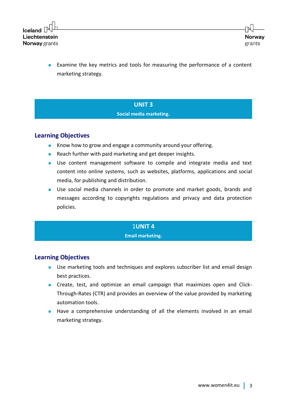

■ Examine the key metrics and tools for measuring the performance of a content marketing strategy.

#### **UNIT 3**

#### **Social media marketing.**

#### **Learning Objectives**

- Know how to grow and engage a community around your offering.
- Reach further with paid marketing and get deeper insights.
- Use content management software to compile and integrate media and text content into online systems, such as websites, platforms, applications and social media, for publishing and distribution.
- Use social media channels in order to promote and market goods, brands and messages according to copyrights regulations and privacy and data protection policies.

#### 1**UNIT 4**

#### **Email marketing.**

#### **Learning Objectives**

- Use marketing tools and techniques and explores subscriber list and email design best practices.
- Create, test, and optimize an email campaign that maximizes open and Click-Through-Rates (CTR) and provides an overview of the value provided by marketing automation tools.
- Have a comprehensive understanding of all the elements involved in an email marketing strategy.